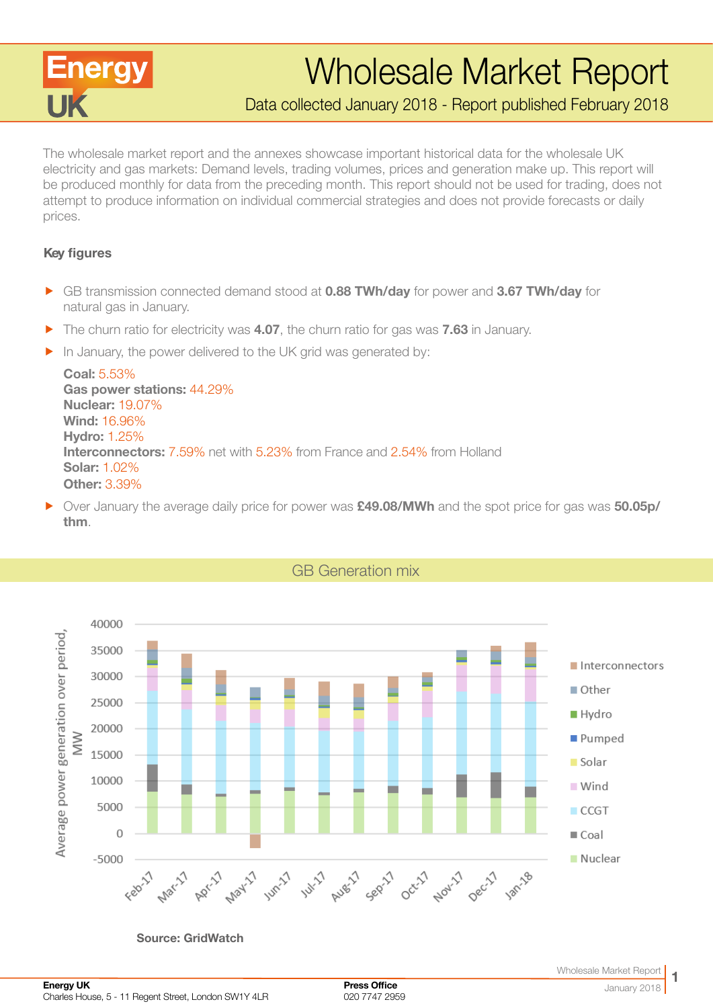

# Wholesale Market Report

Data collected January 2018 - Report published February 2018

The wholesale market report and the annexes showcase important historical data for the wholesale UK electricity and gas markets: Demand levels, trading volumes, prices and generation make up. This report will be produced monthly for data from the preceding month. This report should not be used for trading, does not attempt to produce information on individual commercial strategies and does not provide forecasts or daily prices.

#### Key figures

- **F** GB transmission connected demand stood at **0.88 TWh/day** for power and **3.67 TWh/day** for natural gas in January.
- $\blacktriangleright$  The churn ratio for electricity was 4.07, the churn ratio for gas was 7.63 in January.
- $\blacktriangleright$  In January, the power delivered to the UK grid was generated by:

Coal: 5.53% Gas power stations: 44.29% Nuclear: 19.07% Wind: 16.96% Hydro: 1.25% Interconnectors: 7.59% net with 5.23% from France and 2.54% from Holland Solar: 1.02% Other: 3.39%

• Over January the average daily price for power was **£49.08/MWh** and the spot price for gas was 50.05p/ thm.



Source: GridWatch

GB Generation mix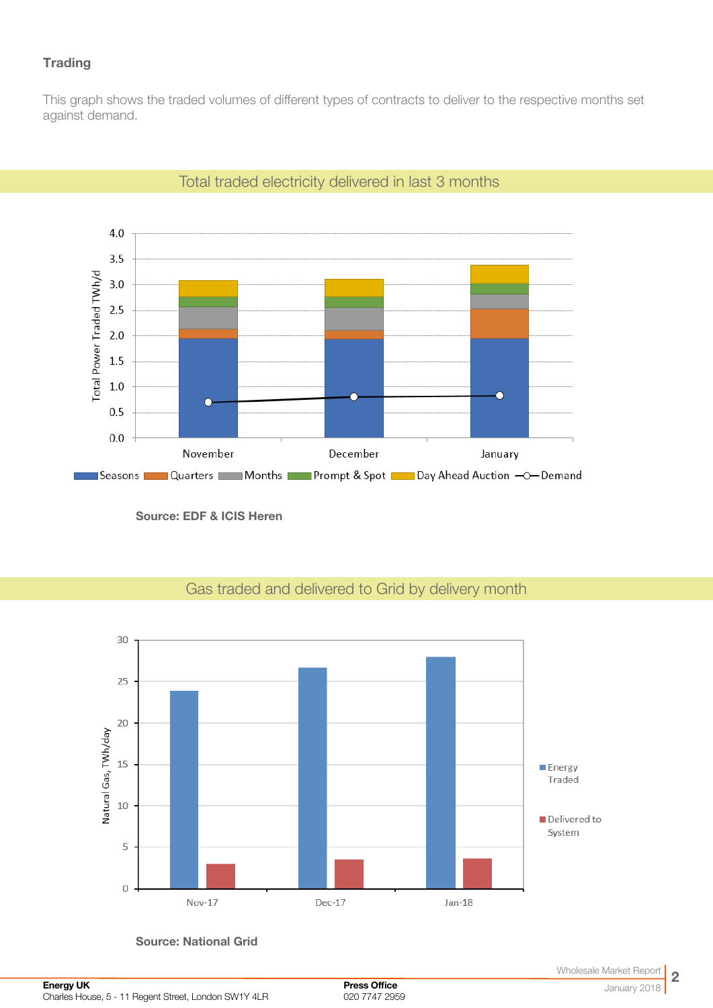# **Trading**

This graph shows the traded volumes of different types of contracts to deliver to the respective months set against demand.





Source: EDF & ICIS Heren



# Gas traded and delivered to Grid by delivery month

Source: National Grid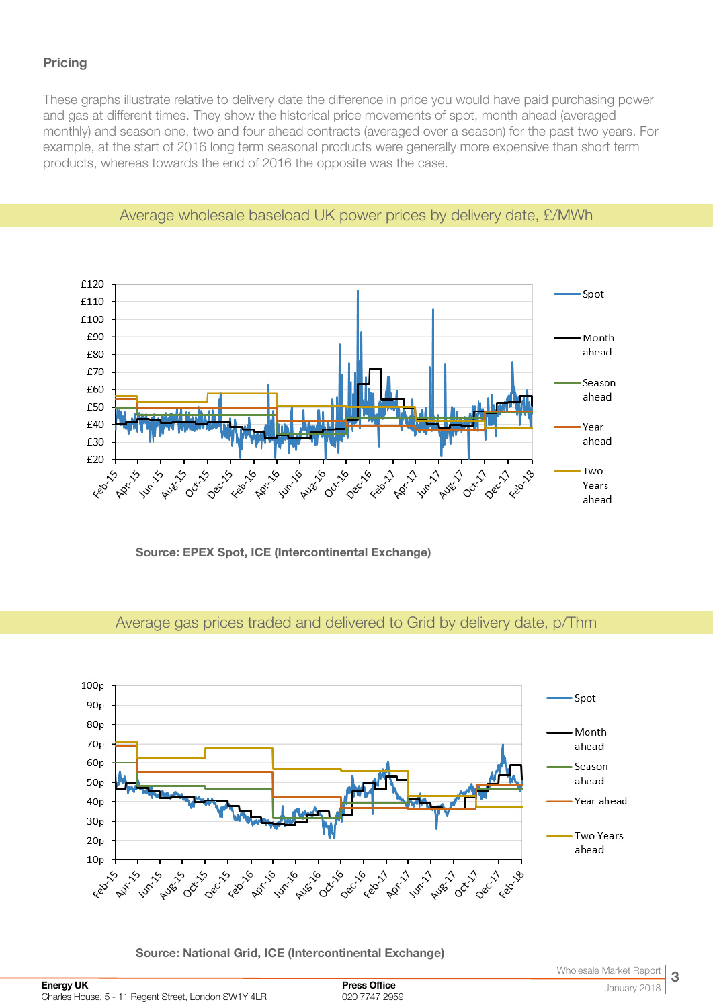## **Pricing**

These graphs illustrate relative to delivery date the difference in price you would have paid purchasing power and gas at different times. They show the historical price movements of spot, month ahead (averaged monthly) and season one, two and four ahead contracts (averaged over a season) for the past two years. For example, at the start of 2016 long term seasonal products were generally more expensive than short term products, whereas towards the end of 2016 the opposite was the case.



#### Average wholesale baseload UK power prices by delivery date, £/MWh

Source: EPEX Spot, ICE (Intercontinental Exchange)

# Average gas prices traded and delivered to Grid by delivery date, p/Thm



Source: National Grid, ICE (Intercontinental Exchange)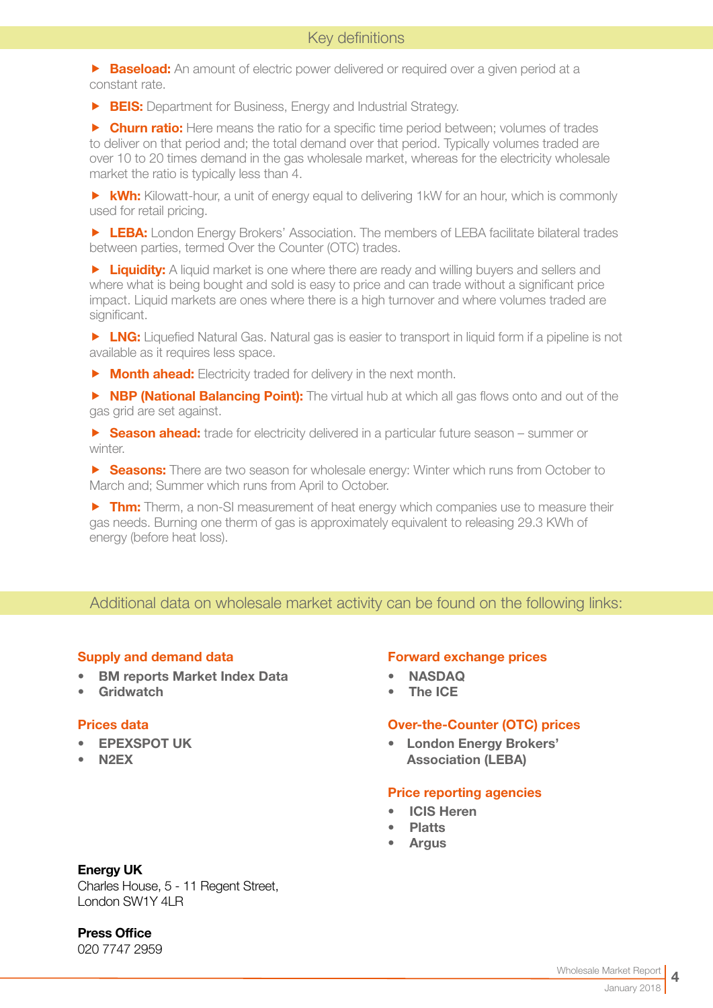**Baseload:** An amount of electric power delivered or required over a given period at a constant rate.

**FIS:** Department for Business, Energy and Industrial Strategy.

**F** Churn ratio: Here means the ratio for a specific time period between; volumes of trades to deliver on that period and; the total demand over that period. Typically volumes traded are over 10 to 20 times demand in the gas wholesale market, whereas for the electricity wholesale market the ratio is typically less than 4.

 $\triangleright$  **kWh:** Kilowatt-hour, a unit of energy equal to delivering 1kW for an hour, which is commonly used for retail pricing.

**F LEBA:** London Energy Brokers' Association. The members of LEBA facilitate bilateral trades between parties, termed Over the Counter (OTC) trades.

**F** Liquidity: A liquid market is one where there are ready and willing buyers and sellers and where what is being bought and sold is easy to price and can trade without a significant price impact. Liquid markets are ones where there is a high turnover and where volumes traded are significant.

**F LNG:** Liquefied Natural Gas. Natural gas is easier to transport in liquid form if a pipeline is not available as it requires less space.

 $\triangleright$  **Month ahead:** Electricity traded for delivery in the next month.

**F NBP (National Balancing Point):** The virtual hub at which all gas flows onto and out of the gas grid are set against.

**F** Season ahead: trade for electricity delivered in a particular future season – summer or winter.

**F** Seasons: There are two season for wholesale energy: Winter which runs from October to March and; Summer which runs from April to October.

 $\triangleright$  Thm: Therm, a non-SI measurement of heat energy which companies use to measure their gas needs. Burning one therm of gas is approximately equivalent to releasing 29.3 KWh of energy (before heat loss).

# Additional data on wholesale market activity can be found on the following links:

#### Supply and demand data

- [BM reports Market Index Data](http://www.bmreports.com/bwh_Mid.html
)
- [Gridwatch](http://www.gridwatch.templar.co.uk/index.php )

#### Prices data

- [EPEXSPOT UK](http://www.epexspot.com/en/)
- [N2EX](http://www.n2ex.com/marketdata )

#### Forward exchange prices

- [NASDAQ](http://www.nasdaqomx.com/commodities/markets/marketprices )
- [The ICE](http://www.theice.com/marketdata/reports/ReportCenter.shtml#report/10 )

#### Over-the-Counter (OTC) prices

• [London Energy Brokers'](http://www.leba.org.uk/pages/index.cfm?page_id=41&title=uk_power_prompt )  [Association \(LEBA\)](http://www.leba.org.uk/pages/index.cfm?page_id=41&title=uk_power_prompt )

#### Price reporting agencies

- [ICIS Heren](http://www.icis.com/heren)
- **[Platts](http://www.platts.com)**
- **[Argus](http://www.argusmedia.com/Power)**

#### Energy UK

Charles House, 5 - 11 Regent Street, London SW1Y 4LR

Press Office

020 7747 2959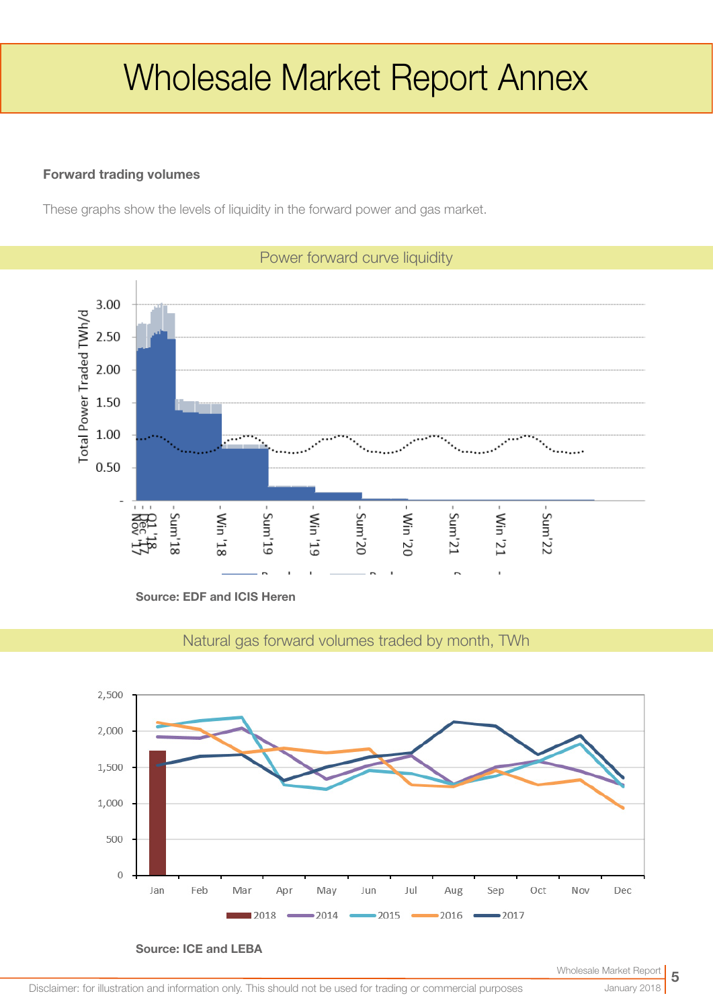# Wholesale Market Report Annex

### Forward trading volumes

These graphs show the levels of liquidity in the forward power and gas market.



Source: EDF and ICIS Heren

Natural gas forward volumes traded by month, TWh



Source: ICE and LEBA

# Power forward curve liquidity

January 2018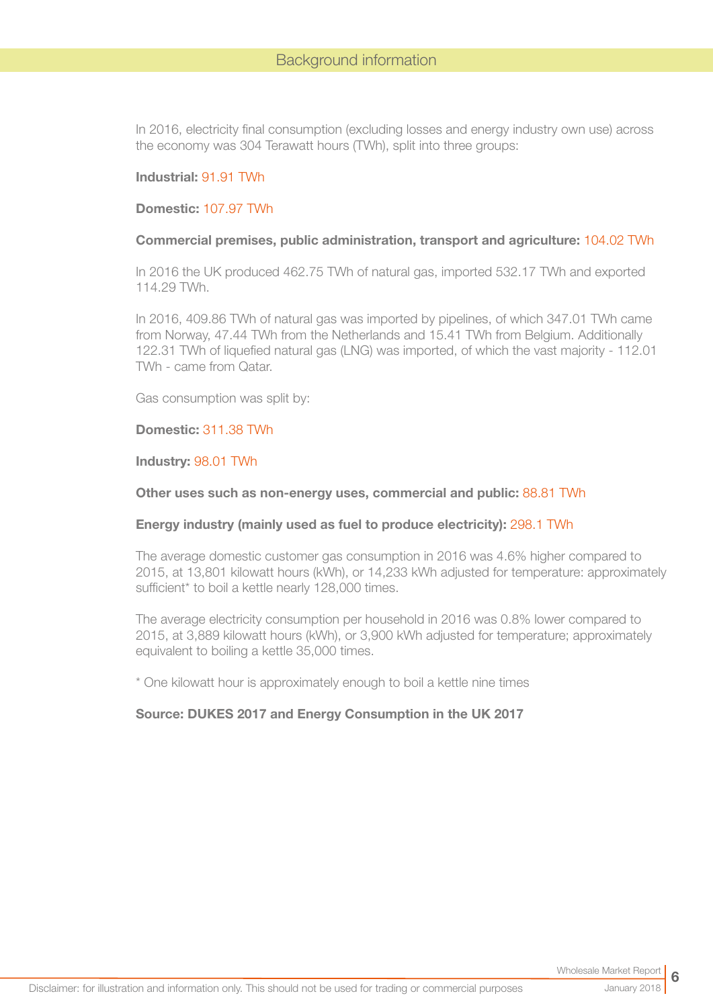In 2016, electricity final consumption (excluding losses and energy industry own use) across the economy was 304 Terawatt hours (TWh), split into three groups:

#### Industrial: 91.91 TWh

#### Domestic: 107.97 TWh

#### Commercial premises, public administration, transport and agriculture: 104.02 TWh

In 2016 the UK produced 462.75 TWh of natural gas, imported 532.17 TWh and exported 114.29 TWh.

In 2016, 409.86 TWh of natural gas was imported by pipelines, of which 347.01 TWh came from Norway, 47.44 TWh from the Netherlands and 15.41 TWh from Belgium. Additionally 122.31 TWh of liquefied natural gas (LNG) was imported, of which the vast majority - 112.01 TWh - came from Qatar.

Gas consumption was split by:

#### Domestic: 311.38 TWh

Industry: 98.01 TWh

#### Other uses such as non-energy uses, commercial and public: 88.81 TWh

#### Energy industry (mainly used as fuel to produce electricity): 298.1 TWh

The average domestic customer gas consumption in 2016 was 4.6% higher compared to 2015, at 13,801 kilowatt hours (kWh), or 14,233 kWh adjusted for temperature: approximately sufficient\* to boil a kettle nearly 128,000 times.

The average electricity consumption per household in 2016 was 0.8% lower compared to 2015, at 3,889 kilowatt hours (kWh), or 3,900 kWh adjusted for temperature; approximately equivalent to boiling a kettle 35,000 times.

\* One kilowatt hour is approximately enough to boil a kettle nine times

#### Source: DUKES 2017 and Energy Consumption in the UK 2017

January 2018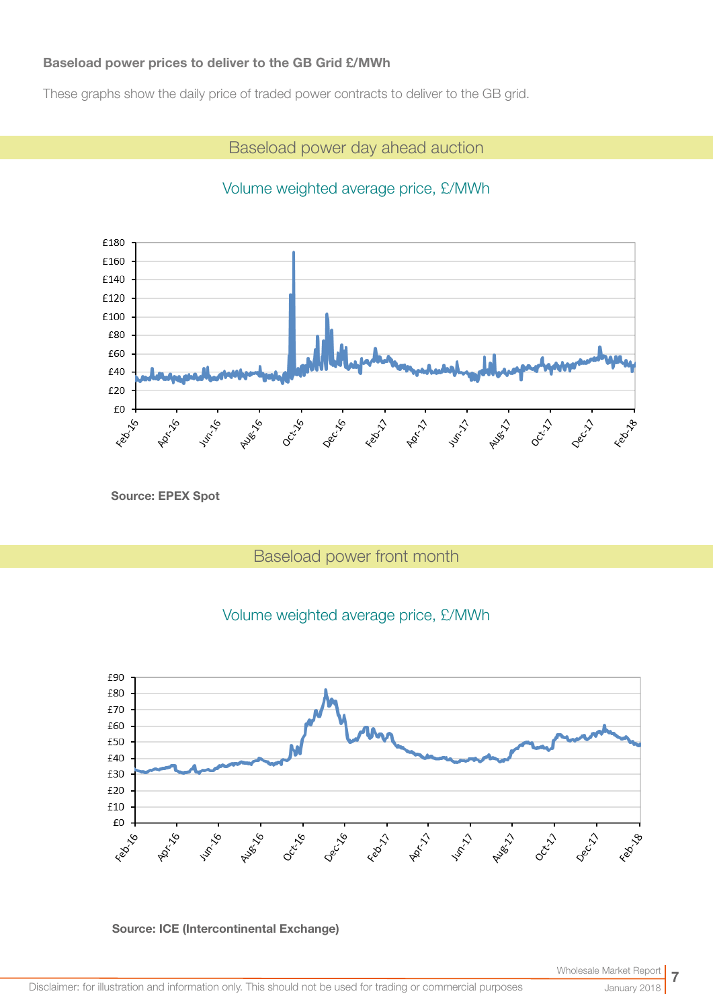#### Baseload power prices to deliver to the GB Grid £/MWh

These graphs show the daily price of traded power contracts to deliver to the GB grid.

Baseload power day ahead auction

# Volume weighted average price, £/MWh



Source: EPEX Spot

# Baseload power front month





Source: ICE (Intercontinental Exchange)

January 2018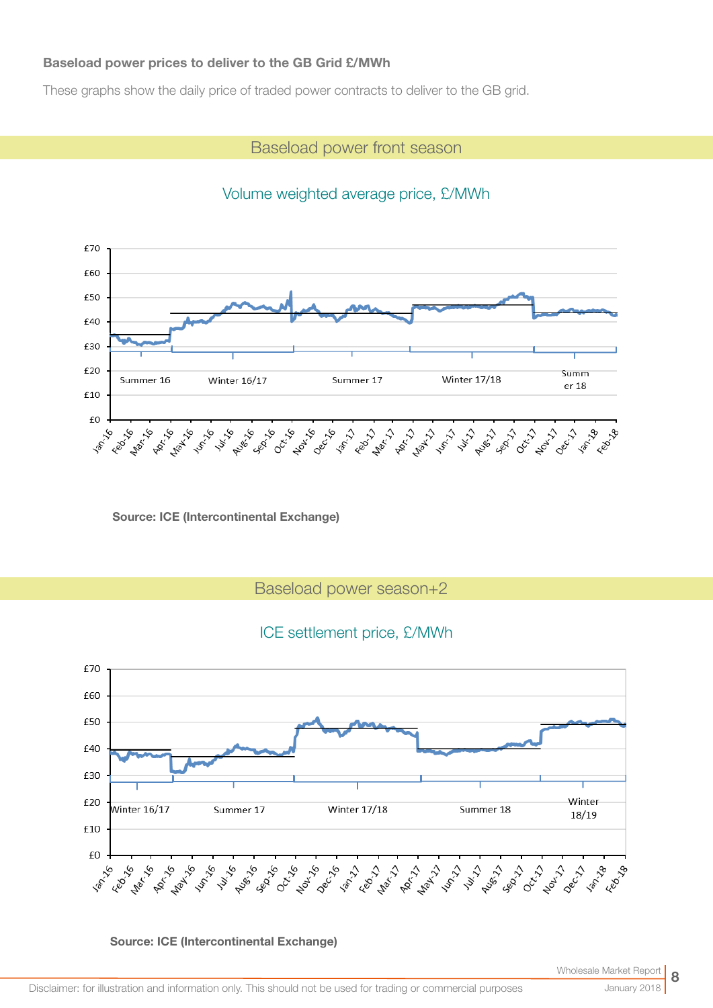#### Baseload power prices to deliver to the GB Grid £/MWh

These graphs show the daily price of traded power contracts to deliver to the GB grid.

## Baseload power front season



Volume weighted average price, £/MWh

Source: ICE (Intercontinental Exchange)

Baseload power season+2

### ICE settlement price, £/MWh

![](_page_7_Figure_8.jpeg)

Source: ICE (Intercontinental Exchange)

January 2018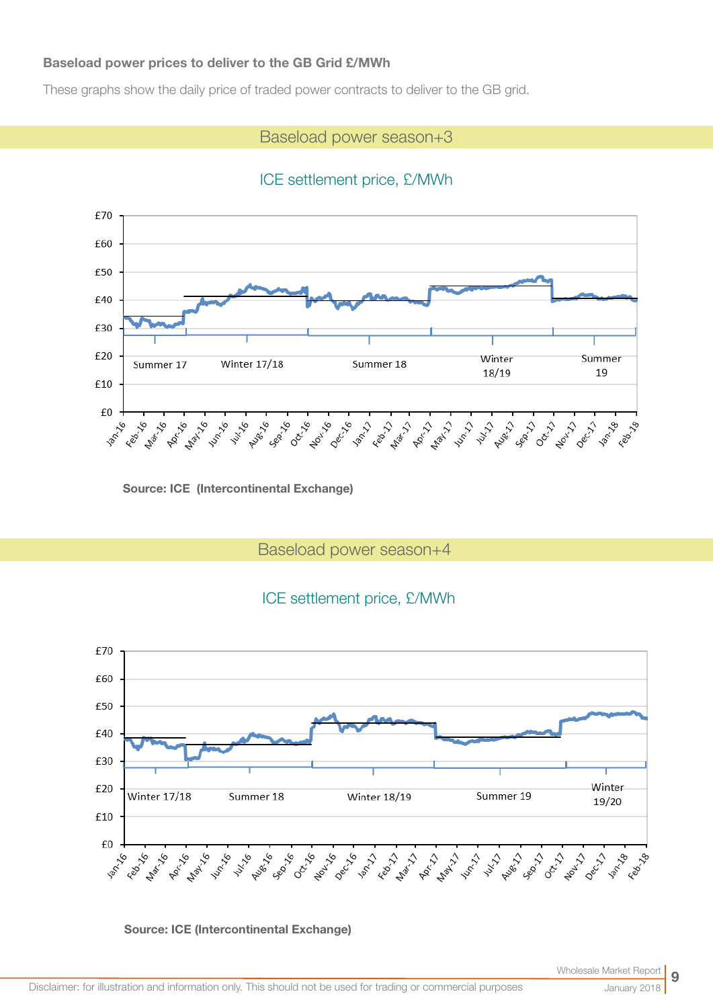#### Baseload power prices to deliver to the GB Grid £/MWh

These graphs show the daily price of traded power contracts to deliver to the GB grid.

## Baseload power season+3

## ICE settlement price, £/MWh

![](_page_8_Figure_4.jpeg)

Source: ICE (Intercontinental Exchange)

Baseload power season+4

# ICE settlement price, £/MWh

![](_page_8_Figure_8.jpeg)

Source: ICE (Intercontinental Exchange)

January 2018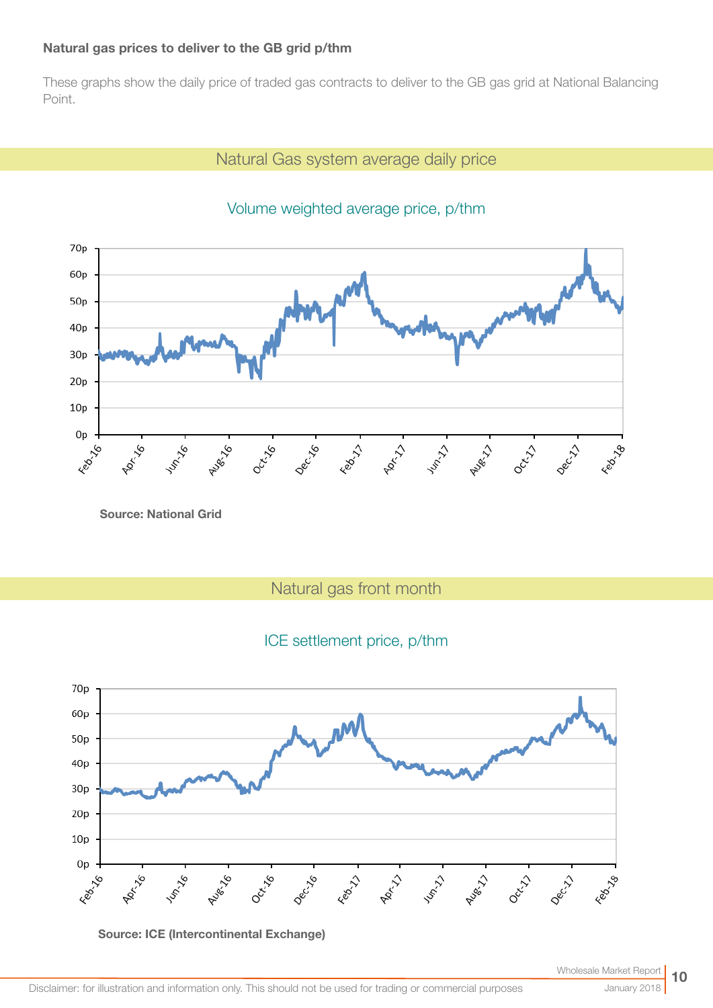#### Natural gas prices to deliver to the GB grid p/thm

These graphs show the daily price of traded gas contracts to deliver to the GB gas grid at National Balancing Point.

# Natural Gas system average daily price

![](_page_9_Figure_3.jpeg)

# Volume weighted average price, p/thm

Source: National Grid

Natural gas front month

# ICE settlement price, p/thm

![](_page_9_Figure_8.jpeg)

![](_page_9_Figure_9.jpeg)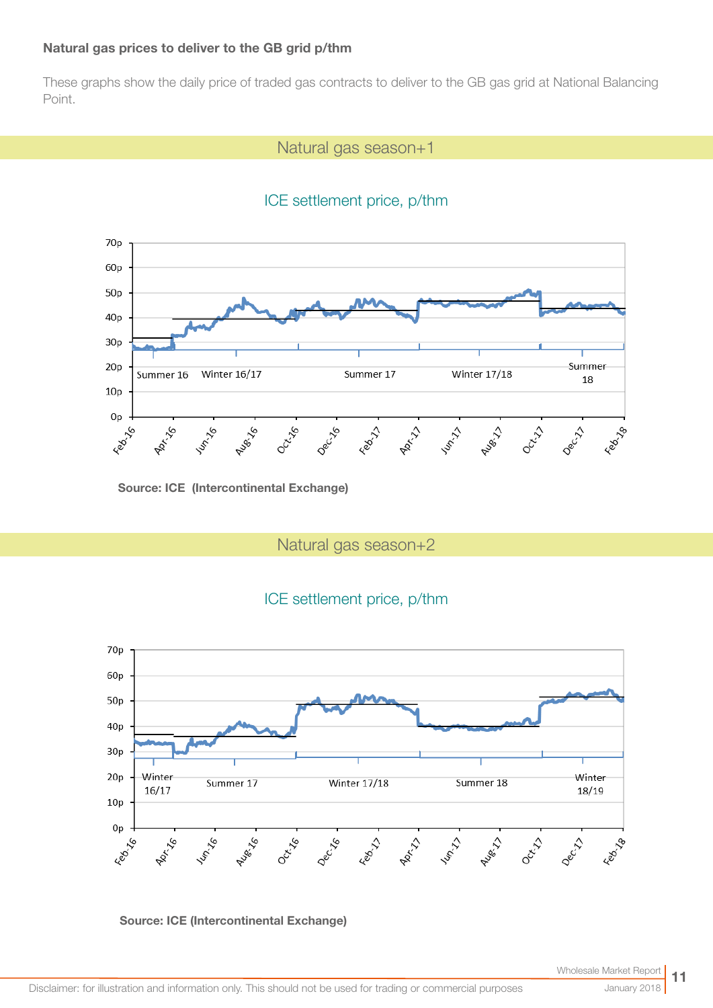#### Natural gas prices to deliver to the GB grid p/thm

These graphs show the daily price of traded gas contracts to deliver to the GB gas grid at National Balancing Point.

## Natural gas season+1

# ICE settlement price, p/thm

![](_page_10_Figure_4.jpeg)

Source: ICE (Intercontinental Exchange)

Natural gas season+2

![](_page_10_Figure_7.jpeg)

![](_page_10_Figure_8.jpeg)

Source: ICE (Intercontinental Exchange)